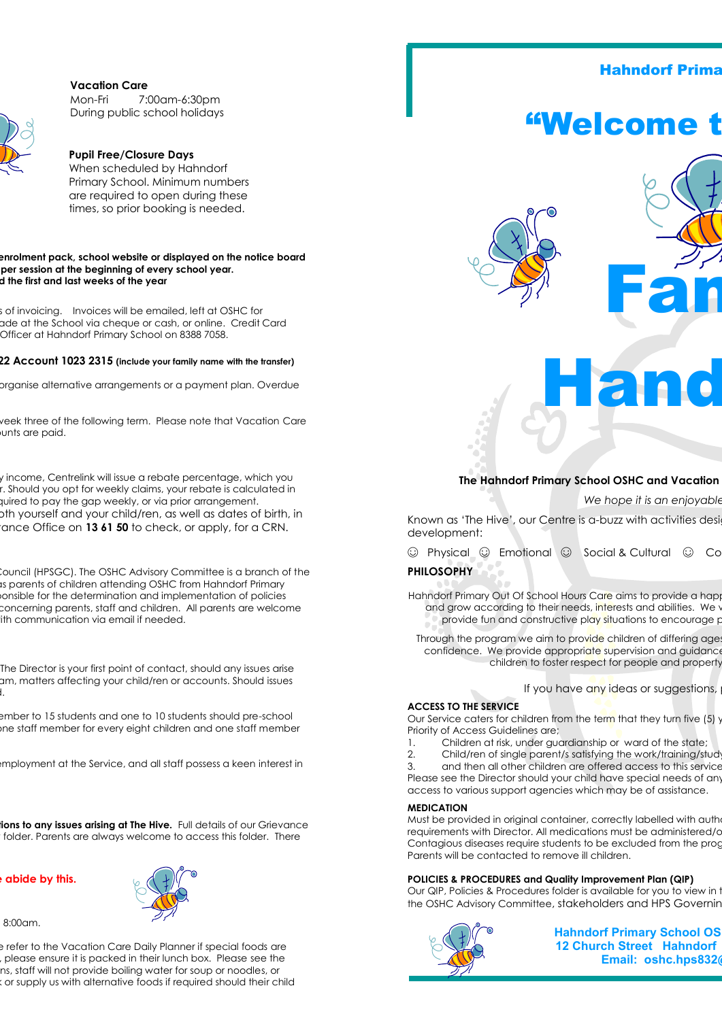**Vacation Care**



Mon-Fri 7:00am-6:30pm During public school holidays

#### **Pupil Free/Closure Days** When scheduled by Hahndorf Primary School. Minimum numbers are required to open during these times, so prior booking is needed.

#### **For current fees, please refer to our Fees Schedule included in the enrolment pack, school website or displayed on the notice board**  per session at the beginning of every school year. **We are closed on Public Holidays and the first and last weeks of the year**

s of invoicing. Invoices will be emailed, left at OSHC for ade at the School via cheque or cash, or online. Credit Card Officer at Hahndorf Primary School on 8388 7058.

#### **Internet banking details: Funds Transfer– BSB 065-522 Account 1023 2315 (include your family name with the transfer)**

prganise alternative arrangements or a payment plan. Overdue

veek three of the following term. Please note that Vacation Care unts are paid.

y income, Centrelink will issue a rebate percentage, which you r. Should you opt for weekly claims, your rebate is calculated in quired to pay the gap weekly, or via prior arrangement. oth yourself and your child/ren, as well as dates of birth, in ance Office on 13 61 50 to check, or apply, for a CRN.

Council (HPSGC). The OSHC Advisory Committee is a branch of the Is parents of children attending OSHC from Hahndorf Primary onsible for the determination and implementation of policies concerning parents, staff and children. All parents are welcome ith communication via email if needed.

The Director is your first point of contact, should any issues arise am, matters affecting your child/ren or accounts. Should issues l.

> ember to 15 students and one to 10 students should pre-school ne staff member for every eight children and one staff member

> employment at the Service, and all staff possess a keen interest in

**ions to any issues arising at The Hive.** Full details of our Grievance folder. Parents are always welcome to access this folder. There

#### **Ruther in Service is a Number 2**

8:00am.



e refer to the Vacation Care Daily Planner if special foods are , please ensure it is packed in their lunch box. Please see the ns, staff will not provide boiling water for soup or noodles, or cor supply us with alternative foods if required should their child

## **Hahndorf Prima**

# "Welcome t





#### **The Hahndorf Primary School OSHC and Vacation**

*We hope it is an enjoyable* 

Hand

Known as 'The Hive', our Centre is a-buzz with activities desi development:

ⓒ Physical ⓒ Emotional ⓒ Social & Cultural ⓒ Co

## **PHILOSOPHY**

Hahndorf Primary Out Of School Hours Care aims to provide a happy and grow according to their needs, interests and abilities. We value the benefit of social activity of social a provide fun and constructive play situations to encourage positive interactions and attitudes to all persons a

Through the program we aim to provide children of differing age confidence. We provide appropriate supervision and guidance children to foster respect for people and property

If you have any ideas or suggestions,

#### **ACCESS TO THE SERVICE**

Our Service caters for children from the term that they turn five (5) years older. Priority of Access Guidelines are;

- 1. Children at risk, under guardianship or ward of the state;
- 2. Child/ren of single parent/s satisfying the work/training/stud
- 3. and then all other children are offered access to this service.

Please see the Director should your child have special needs of any access to various support agencies which may be of assistance.

#### **MEDICATION**

Must be provided in original container, correctly labelled with auth requirements with Director. All medications must be administered/c Contagious diseases require students to be excluded from the program. Parents will be contacted to remove ill children.

#### **POLICIES & PROCEDURES and Quality Improvement Plan (QIP)**

Our QIP, Policies & Procedures folder is available for you to view in the Oshc the OSHC Advisory Committee, stakeholders and HPS Governing



**Hahndorf Primary School OS 12 Church Street Hahndorf Email: oshc.hps832(**